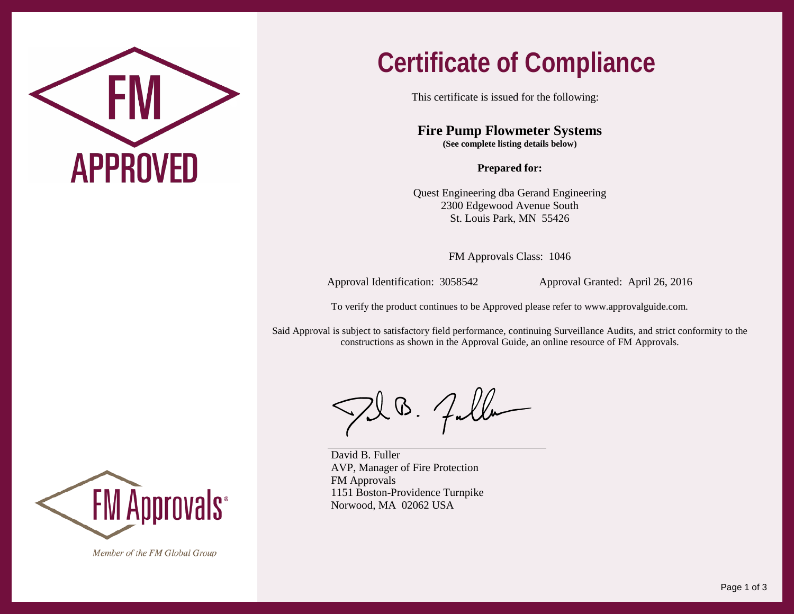

## **Certificate of Compliance**

This certificate is issued for the following:

**Fire Pump Flowmeter Systems (See complete listing details below)**

**Prepared for:**

Quest Engineering dba Gerand Engineering 2300 Edgewood Avenue South St. Louis Park, MN 55426

FM Approvals Class: 1046

Approval Identification: 3058542 Approval Granted: April 26, 2016

To verify the product continues to be Approved please refer to [www.approvalguide.com.](http://www.approvalguide.com/)

Said Approval is subject to satisfactory field performance, continuing Surveillance Audits, and strict conformity to the constructions as shown in the Approval Guide, an online resource of FM Approvals.

 $\boldsymbol{\mathsf{W}}$  .

David B. Fuller AVP, Manager of Fire Protection FM Approvals 1151 Boston-Providence Turnpike Norwood, MA 02062 USA



Member of the FM Global Group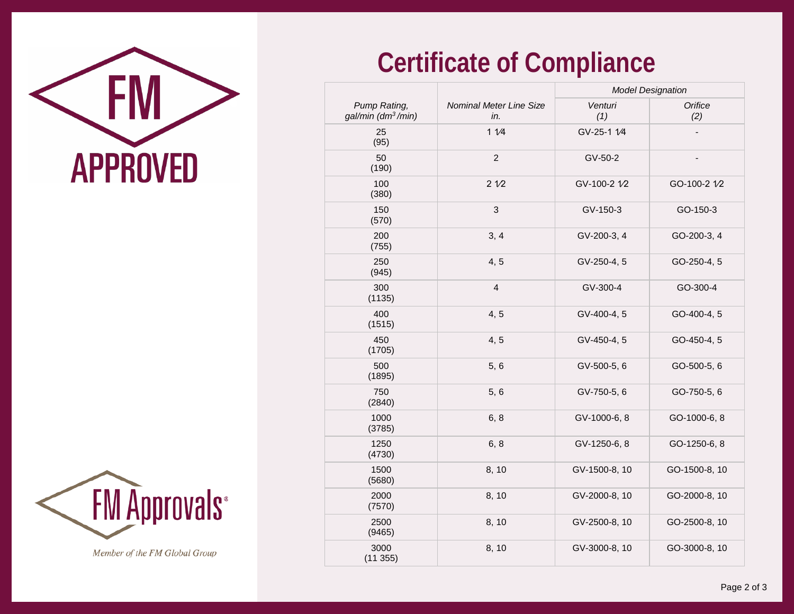



Member of the FM Global Group

## **Certificate of Compliance**

|                                                |                                | <b>Model Designation</b> |                |
|------------------------------------------------|--------------------------------|--------------------------|----------------|
| Pump Rating,<br>gal/min (dm <sup>3</sup> /min) | Nominal Meter Line Size<br>in. | Venturi<br>(1)           | Orifice<br>(2) |
| 25<br>(95)                                     | 11/4                           | GV-25-1 1/4              |                |
| 50<br>(190)                                    | $\overline{c}$                 | GV-50-2                  |                |
| 100<br>(380)                                   | 21/2                           | GV-100-2 1/2             | GO-100-2 1/2   |
| 150<br>(570)                                   | $\mathfrak{S}$                 | GV-150-3                 | GO-150-3       |
| 200<br>(755)                                   | 3, 4                           | GV-200-3, 4              | GO-200-3, 4    |
| 250<br>(945)                                   | 4, 5                           | GV-250-4, 5              | GO-250-4, 5    |
| 300<br>(1135)                                  | $\overline{4}$                 | GV-300-4                 | GO-300-4       |
| 400<br>(1515)                                  | 4, 5                           | GV-400-4, 5              | GO-400-4, 5    |
| 450<br>(1705)                                  | 4, 5                           | GV-450-4, 5              | GO-450-4, 5    |
| 500<br>(1895)                                  | 5,6                            | GV-500-5, 6              | GO-500-5, 6    |
| 750<br>(2840)                                  | 5, 6                           | GV-750-5, 6              | GO-750-5, 6    |
| 1000<br>(3785)                                 | 6, 8                           | GV-1000-6, 8             | GO-1000-6, 8   |
| 1250<br>(4730)                                 | 6, 8                           | GV-1250-6, 8             | GO-1250-6, 8   |
| 1500<br>(5680)                                 | 8, 10                          | GV-1500-8, 10            | GO-1500-8, 10  |
| 2000<br>(7570)                                 | 8, 10                          | GV-2000-8, 10            | GO-2000-8, 10  |
| 2500<br>(9465)                                 | 8, 10                          | GV-2500-8, 10            | GO-2500-8, 10  |
| 3000<br>(11355)                                | 8, 10                          | GV-3000-8, 10            | GO-3000-8, 10  |